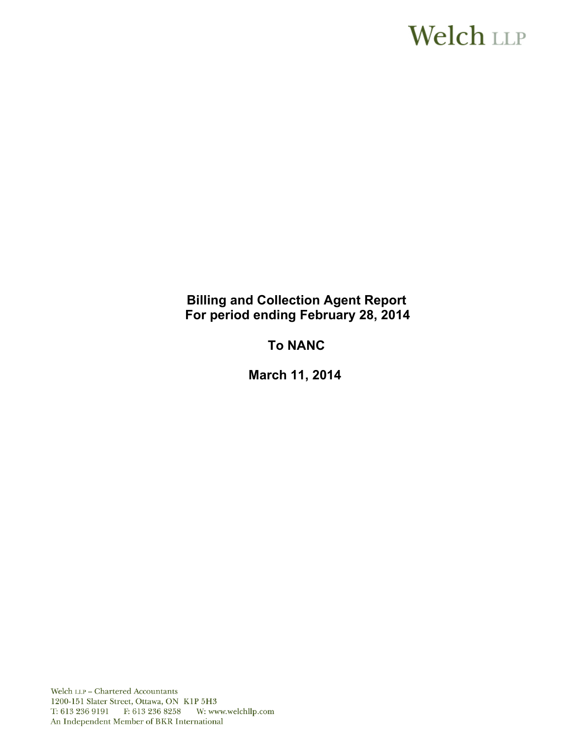# **Welch LLP**

# **Billing and Collection Agent Report For period ending February 28, 2014**

# **To NANC**

 **March 11, 2014**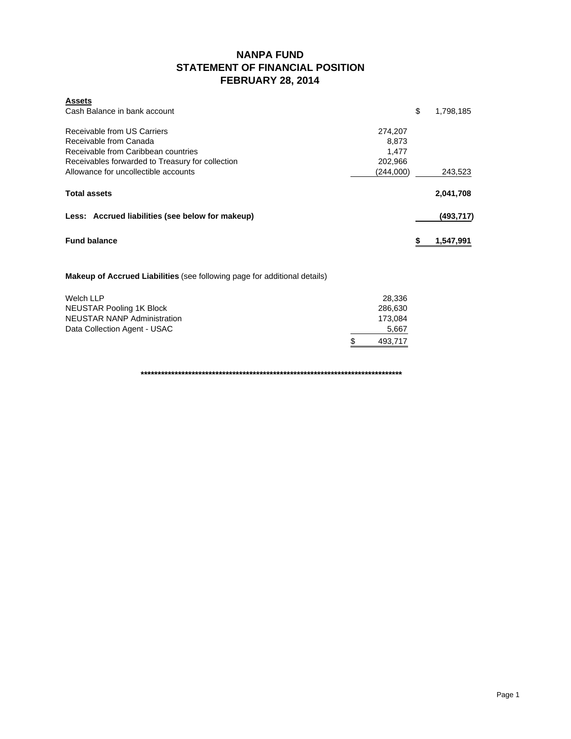## **NANPA FUND STATEMENT OF FINANCIAL POSITION FEBRUARY 28, 2014**

| <b>Assets</b>                                    |           |                 |
|--------------------------------------------------|-----------|-----------------|
| Cash Balance in bank account                     |           | \$<br>1,798,185 |
| Receivable from US Carriers                      | 274.207   |                 |
| Receivable from Canada                           | 8,873     |                 |
| Receivable from Caribbean countries              | 1.477     |                 |
| Receivables forwarded to Treasury for collection | 202,966   |                 |
| Allowance for uncollectible accounts             | (244,000) | 243,523         |
| <b>Total assets</b>                              |           | 2,041,708       |
| Less: Accrued liabilities (see below for makeup) |           | (493,717)       |
| <b>Fund balance</b>                              |           | 1,547,991       |

#### **Makeup of Accrued Liabilities** (see following page for additional details)

| Welch LLP                    | 28.336         |
|------------------------------|----------------|
| NEUSTAR Pooling 1K Block     | 286.630        |
| NEUSTAR NANP Administration  | 173.084        |
| Data Collection Agent - USAC | 5.667          |
|                              | \$.<br>493.717 |

**\*\*\*\*\*\*\*\*\*\*\*\*\*\*\*\*\*\*\*\*\*\*\*\*\*\*\*\*\*\*\*\*\*\*\*\*\*\*\*\*\*\*\*\*\*\*\*\*\*\*\*\*\*\*\*\*\*\*\*\*\*\*\*\*\*\*\*\*\*\*\*\*\*\*\*\*\***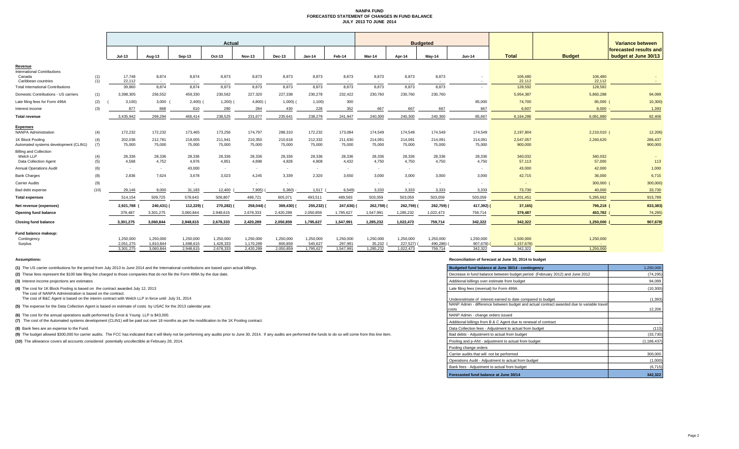#### **NANPA FUND FORECASTED STATEMENT OF CHANGES IN FUND BALANCE JULY 2013 TO JUNE 2014**

|                                                                     |            |                        | Actual<br><b>Budgeted</b> |                        |                        |                        |                      |                      |                      | Variance between            |                       |                       |                          |                         |                   |                                                |
|---------------------------------------------------------------------|------------|------------------------|---------------------------|------------------------|------------------------|------------------------|----------------------|----------------------|----------------------|-----------------------------|-----------------------|-----------------------|--------------------------|-------------------------|-------------------|------------------------------------------------|
|                                                                     |            | $Jul-13$               | Aug-13                    | Sep-13                 | Oct-13                 | <b>Nov-13</b>          | Dec-13               | $Jan-14$             | Feb-14               | Mar-14                      | Apr-14                | Mav-14                | <b>Jun-14</b>            | <b>Total</b>            | <b>Budget</b>     | forecasted results and<br>budget at June 30/13 |
| Revenue                                                             |            |                        |                           |                        |                        |                        |                      |                      |                      |                             |                       |                       |                          |                         |                   |                                                |
| <b>International Contributions</b><br>Canada<br>Caribbean countries | (1)<br>(1) | 17.748<br>22,112       | 8,874<br>$\sim$           | 8,874                  | 8,873<br>$\sim$        | 8,873                  | 8,873                | 8,873<br>$\sim$      | 8,873<br>$\sim$      | 8,873                       | 8,873                 | 8,873                 | $\overline{\phantom{a}}$ | 106,480<br>22,112       | 106,480<br>22,112 |                                                |
| <b>Total International Contributions</b>                            |            | 39,860                 | 8,874                     | 8,874                  | 8,873                  | 8,873                  | 8,873                | 8,873                | 8,873                | 8,873                       | 8,873                 | 8,873                 |                          | 128,592                 | 128,592           |                                                |
| Domestic Contributions - US carriers                                | (1)        | 3,398,305              | 256,552                   | 459,330                | 230,562                | 227,320                | 227,338              | 230,278              | 232,422              | 230,760                     | 230,760               | 230,760               |                          | 5,954,387               | 5,860,288         | 94,099                                         |
| Late filing fees for Form 499A                                      | (2)        | 3,100                  | 3,000                     | 2,400)                 | $1,200)$ (             | $4,800$ )              | 1,000                | 1,100                | 300                  |                             |                       |                       | 85,000                   | 74,700                  | 85,000 (          | 10,300                                         |
| Interest income                                                     | (3)        | 877                    | 868                       | 610                    | 290                    | 284                    | 430                  | 228                  | 352                  | 667                         | 667                   | 667                   | 667                      | 6.607                   | 8.000             | 1,393                                          |
| <b>Total revenue</b>                                                |            | 3,435,942              | 269,294                   | 466,414                | 238,525                | 231,677                | 235,641              | 238,279              | 241,947              | 240,300                     | 240,300               | 240,300               | 85,667                   | 6,164,286               | 6,081,880         | 82,406                                         |
| <b>Expenses</b><br><b>NANPA Administration</b>                      | (4)        | 172,232                | 172,232                   | 173,465                | 173,256                | 174,797                | 288,310              | 172,232              | 173,084              | 174,549                     | 174,549               | 174,549               | 174,549                  | 2,197,804               | 2,210,010 (       | 12,206                                         |
| 1K Block Pooling<br>Automated systems development (CLIN1)           | (4)<br>(7) | 202,036<br>75,000      | 212,781<br>75,000         | 219,005<br>75,000      | 211,941<br>75,000      | 210,350<br>75,000      | 210,618<br>75,000    | 212,332<br>75,000    | 211,630<br>75,000    | 214,091<br>75,000           | 214,091<br>75,000     | 214,091<br>75,000     | 214,091<br>75,000        | 2,547,057<br>900,000    | 2,260,620         | 286,437<br>900,000                             |
| <b>Billing and Collection</b><br>Welch LLP<br>Data Collection Agent | (4)<br>(5) | 28,336<br>4,568        | 28,336<br>4,752           | 28,336<br>4,976        | 28,336<br>4,851        | 28,336<br>4,898        | 28,336<br>4,828      | 28,336<br>4,808      | 28,336<br>4,432      | 28,336<br>4,750             | 28,336<br>4,750       | 28,336<br>4,750       | 28,336<br>4,750          | 340,032<br>57,113       | 340,032<br>57,000 | 113                                            |
| <b>Annual Operations Audit</b>                                      | (6)        | $\sim$                 | $\sim$                    | 43,000                 | $\sim$                 | $\sim$                 | $\sim$               | $\sim$               | $\sim$               | <b><i><u>Part 1</u></i></b> | $\sim$                |                       |                          | 43,000                  | 42,000            | 1,000                                          |
| <b>Bank Charges</b>                                                 | (8)        | 2.836                  | 7,624                     | 3,678                  | 3,023                  | 4.245                  | 3.339                | 2,320                | 3,650                | 3,000                       | 3.000                 | 3.000                 | 3,000                    | 42,715                  | 36,000            | 6,715                                          |
| <b>Carrier Audits</b>                                               | (9)        | $\sim$                 | $\sim$                    | $\sim$                 | $\sim$                 |                        | $\sim$               |                      |                      |                             | $\sim$                | $\sim$                |                          |                         | 300,000           | 300,000                                        |
| Bad debt expense                                                    | (10)       | 29.146                 | 9,000                     | 31,183                 | 12,400                 | 7,905)                 | 5,360                | 1,517                | 6,549)               | 3,333                       | 3,333                 | 3.333                 | 3,333                    | 73,730                  | 40,000            | 33,730                                         |
| <b>Total expenses</b>                                               |            | 514,154                | 509,725                   | 578,643                | 508,807                | 489,721                | 605,071              | 493,511              | 489,583              | 503,059                     | 503,059               | 503,059               | 503,059                  | 6,201,451               | 5,285,662         | 915,789                                        |
| Net revenue (expenses)                                              |            | 2,921,788              | 240,431)                  | 112,229)               | 270,282)               | 258,044) (             | 369,430)             | 255,232) (           | 247,636)             | 262,759)                    | 262,759)              | 262,759)              | 417,392) (               | 37,165)                 | 796,218 (         | 833,383                                        |
| Opening fund balance                                                |            | 379,487                | 3,301,275                 | 3,060,844              | 2,948,615              | 2,678,333              | 2,420,289            | 2,050,859            | 1,795,627            | 1,547,991                   | 1,285,232             | 1,022,473             | 759,714                  | 379,487                 | 453,782           | 74,295                                         |
| <b>Closing fund balance</b>                                         |            | 3,301,275              | 3,060,844                 | 2,948,615              | 2,678,333              | 2,420,289              | 2,050,859            | 1,795,627            | 1,547,991            | 1,285,232                   | 1,022,473             | 759,714               | 342,322                  | 342,322                 | 1,250,000         | 907,678                                        |
| Fund balance makeup:<br>Contingency<br>Surplus                      |            | 1,250,000<br>2,051,275 | 1,250,000<br>1,810,844    | 1,250,000<br>1,698,615 | 1,250,000<br>1,428,333 | 1,250,000<br>1,170,289 | 1,250,000<br>800,859 | 1,250,000<br>545,627 | 1,250,000<br>297,991 | 1,250,000<br>35,232         | 1,250,000<br>227,527) | 1,250,000<br>490,286) | 1,250,000<br>907,678)    | 1,500,000<br>1,157,678) | 1,250,000         |                                                |
|                                                                     |            | 3,301,275              | 3,060,844                 | 2,948,615              | 2,678,333              | 2,420,289              | 2,050,859            | 1,795,627            | 1,547,991            | 1,285,232                   | 1,022,473             | 759,714               | 342,322                  | 342,322                 | 1,250,000         |                                                |

**(1)** The US carrier contributions for the period from July 2013 to June 2014 and the International contributions are based upon actual billings.

(2) These fees represent the \$100 late filing fee charged to those companies that do not file the Form 499A by the due date.

**(3)** Interest income projections are estimates

**(4)** The cost for 1K Block Pooling is based on the contract awarded July 12, 2013

The cost of NANPA Administration is based on the contract. The cost of B&C Agent is based on the interim contract with Welch LLP in force until July 31, 2014

**(5)** The expense for the Data Collection Agent is based on estimate of costs by USAC for the 2013 calendar year.

**(6)** The cost for the annual operations audit performed by Ernst & Young LLP is \$43,000.

**(7)** The cost of the Automated systems development (CLIN1) will be paid out over 18 months as per the modification to the 1K Pooling contract.

**(8)** Bank fees are an expense to the Fund.

(9) The budget allowed \$300,000 for carrier audits. The FCC has indicated that it will likely not be performing any audits prior to June 30, 2014. If any audits are performed the funds to do so will come from this line ite

**(10)** The allowance covers all accounts considered potentially uncollectible at February 28, 2014.

#### **Assumptions: Reconciliation of forecast at June 30, 2014 to budget**

| Budgeted fund balance at June 30/14 - contingency                                                  | 1.250.000     |
|----------------------------------------------------------------------------------------------------|---------------|
| Decrease in fund balance between budget period (February 2012) and June 2012                       | (74, 295)     |
| Additional billings over estimate from budget                                                      | 94,099        |
| Late filing fees (reversal) for Form 499A                                                          | (10, 300)     |
| Underestimate of interest earned to date compared to budget                                        | (1, 393)      |
| NANP Admin - difference between budget and actual contract awarded due to variable travel<br>costs | 12,206        |
| NANP Admin - change orders issued                                                                  |               |
| Additional billings from B & C Agent due to renewal of contract                                    |               |
| Data Collection fees - Adjustment to actual from budget                                            | (113)         |
| Bad debts - Adjustment to actual from budget                                                       | (33, 730)     |
| Pooling and p-ANI - adjustment to actual from budget                                               | (1, 186, 437) |
| Pooling change orders                                                                              |               |
| Carrier audits that will not be performed                                                          | 300,000       |
| Operations Audit - Adjustment to actual from budget                                                | (1,000)       |
| Bank fees - Adjustment to actual from budget                                                       | (6, 715)      |
| Forecasted fund balance at June 30/14                                                              | 342.322       |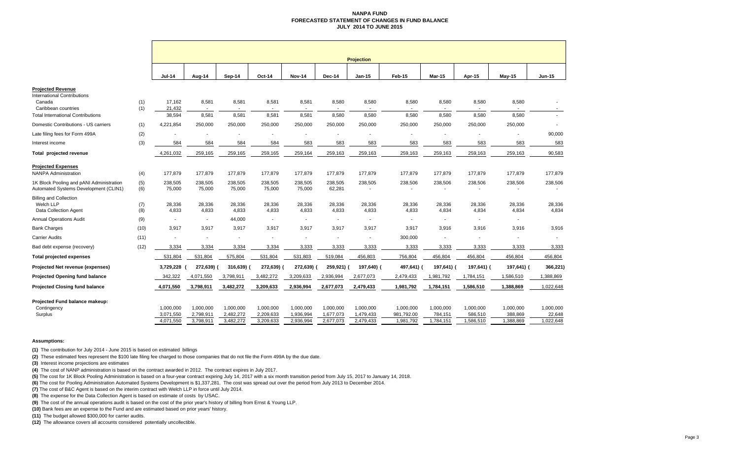#### **NANPA FUND FORECASTED STATEMENT OF CHANGES IN FUND BALANCEJULY 2014 TO JUNE 2015**

|                                                                                                                                             |            | <b>Projection</b>                   |                                            |                                     |                                     |                                     |                                     |                                     |                                      |                                   |                                   |                                   |                                  |  |
|---------------------------------------------------------------------------------------------------------------------------------------------|------------|-------------------------------------|--------------------------------------------|-------------------------------------|-------------------------------------|-------------------------------------|-------------------------------------|-------------------------------------|--------------------------------------|-----------------------------------|-----------------------------------|-----------------------------------|----------------------------------|--|
|                                                                                                                                             |            | <b>Jul-14</b>                       | Aug-14                                     | Sep-14                              | Oct-14                              | <b>Nov-14</b>                       | Dec-14                              | $Jan-15$                            | Feb-15                               | <b>Mar-15</b>                     | Apr-15                            | $May-15$                          | $Jun-15$                         |  |
| <b>Projected Revenue</b><br><b>International Contributions</b><br>Canada<br>Caribbean countries<br><b>Total International Contributions</b> | (1)<br>(1) | 17,162<br>21,432<br>38,594          | 8,581<br>$\overline{\phantom{a}}$<br>8,581 | 8,581<br>$\sim$<br>8,581            | 8,581<br>8,581                      | 8,581<br>8,581                      | 8,580<br>8,580                      | 8,580<br>8,580                      | 8,580<br>$\sim$<br>8,580             | 8,580<br>8,580                    | 8,580<br>8,580                    | 8,580<br>8,580                    | $\sim$                           |  |
| Domestic Contributions - US carriers                                                                                                        | (1)        | 4,221,854                           | 250,000                                    | 250,000                             | 250,000                             | 250,000                             | 250,000                             | 250,000                             | 250,000                              | 250,000                           | 250,000                           | 250,000                           |                                  |  |
| Late filing fees for Form 499A                                                                                                              | (2)        |                                     |                                            |                                     |                                     |                                     |                                     |                                     |                                      |                                   |                                   |                                   | 90,000                           |  |
| Interest income                                                                                                                             | (3)        | 584                                 | 584                                        | 584                                 | 584                                 | 583                                 | 583                                 | 583                                 | 583                                  | 583                               | 583                               | 583                               | 583                              |  |
| Total projected revenue                                                                                                                     |            | 4,261,032                           | 259,165                                    | 259,165                             | 259,165                             | 259,164                             | 259,163                             | 259,163                             | 259,163                              | 259,163                           | 259,163                           | 259,163                           | 90,583                           |  |
| <b>Projected Expenses</b><br><b>NANPA Administration</b>                                                                                    | (4)        | 177,879                             | 177,879                                    | 177,879                             | 177,879                             | 177,879                             | 177,879                             | 177,879                             | 177,879                              | 177,879                           | 177,879                           | 177,879                           | 177,879                          |  |
| 1K Block Pooling and pANI Administration<br>Automated Systems Development (CLIN1)                                                           | (5)<br>(6) | 238,505<br>75,000                   | 238,505<br>75,000                          | 238,505<br>75,000                   | 238,505<br>75,000                   | 238,505<br>75,000                   | 238,505<br>62,281                   | 238,505                             | 238,506                              | 238,506                           | 238,506                           | 238,506                           | 238,506                          |  |
| <b>Billing and Collection</b><br>Welch LLP<br>Data Collection Agent                                                                         | (7)<br>(8) | 28,336<br>4,833                     | 28,336<br>4,833                            | 28,336<br>4,833                     | 28,336<br>4,833                     | 28,336<br>4,833                     | 28,336<br>4,833                     | 28,336<br>4,833                     | 28,336<br>4,833                      | 28,336<br>4,834                   | 28,336<br>4,834                   | 28,336<br>4,834                   | 28,336<br>4,834                  |  |
| <b>Annual Operations Audit</b>                                                                                                              | (9)        | $\overline{\phantom{a}}$            | $\sim$                                     | 44,000                              |                                     | ä,                                  | $\overline{\phantom{a}}$            | $\blacksquare$                      | $\sim$                               |                                   | $\sim$                            | $\sim$                            |                                  |  |
| <b>Bank Charges</b>                                                                                                                         | (10)       | 3,917                               | 3,917                                      | 3.917                               | 3,917                               | 3,917                               | 3.917                               | 3,917                               | 3,917                                | 3,916                             | 3.916                             | 3,916                             | 3,916                            |  |
| <b>Carrier Audits</b>                                                                                                                       | (11)       |                                     | $\blacksquare$                             |                                     |                                     | ä,                                  | $\blacksquare$                      | ä,                                  | 300,000                              |                                   |                                   | $\blacksquare$                    |                                  |  |
| Bad debt expense (recovery)                                                                                                                 | (12)       | 3,334                               | 3,334                                      | 3,334                               | 3,334                               | 3,333                               | 3,333                               | 3,333                               | 3,333                                | 3,333                             | 3,333                             | 3,333                             | 3,333                            |  |
| <b>Total projected expenses</b>                                                                                                             |            | 531,804                             | 531,804                                    | 575,804                             | 531,804                             | 531,803                             | 519,084                             | 456,803                             | 756,804                              | 456,804                           | 456,804                           | 456,804                           | 456,804                          |  |
| Projected Net revenue (expenses)                                                                                                            |            | 3,729,228                           | 272,639)                                   | 316,639)                            | 272,639) (                          | 272,639) (                          | 259,921) (                          | 197,640) (                          | 497,641) (                           | 197,641) (                        | 197,641) (                        | 197,641) (                        | 366,221)                         |  |
| <b>Projected Opening fund balance</b>                                                                                                       |            | 342,322                             | 4,071,550                                  | 3,798,911                           | 3,482,272                           | 3,209,633                           | 2,936,994                           | 2,677,073                           | 2,479,433                            | 1,981,792                         | 1,784,151                         | 1,586,510                         | 1,388,869                        |  |
| <b>Projected Closing fund balance</b>                                                                                                       |            | 4,071,550                           | 3,798,911                                  | 3,482,272                           | 3,209,633                           | 2,936,994                           | 2,677,073                           | 2,479,433                           | 1,981,792                            | 1,784,151                         | 1,586,510                         | 1,388,869                         | 1,022,648                        |  |
| Projected Fund balance makeup:<br>Contingency<br>Surplus                                                                                    |            | 1,000,000<br>3,071,550<br>4,071,550 | 1,000,000<br>2,798,911<br>3,798,911        | 1,000,000<br>2,482,272<br>3,482,272 | 1,000,000<br>2,209,633<br>3,209,633 | 1,000,000<br>1,936,994<br>2,936,994 | 1,000,000<br>1,677,073<br>2,677,073 | 1,000,000<br>1,479,433<br>2,479,433 | 1,000,000<br>981,792.00<br>1,981,792 | 1,000,000<br>784,151<br>1,784,151 | 1,000,000<br>586,510<br>1,586,510 | 1,000,000<br>388,869<br>1,388,869 | 1,000,000<br>22,648<br>1,022,648 |  |

#### **Assumptions:**

**(1)** The contribution for July 2014 - June 2015 is based on estimated billings

**(2)** These estimated fees represent the \$100 late filing fee charged to those companies that do not file the Form 499A by the due date.

**(3)** Interest income projections are estimates

**(4)** The cost of NANP administration is based on the contract awarded in 2012. The contract expires in July 2017.

**(5)** The cost for 1K Block Pooling Administration is based on a four-year contract expiring July 14, 2017 with a six month transition period from July 15, 2017 to January 14, 2018.

**(6)** The cost for Pooling Administration Automated Systems Development is \$1,337,281. The cost was spread out over the period from July 2013 to December 2014.

**(7)** The cost of B&C Agent is based on the interim contract with Welch LLP in force until July 2014.

**(8)** The expense for the Data Collection Agent is based on estimate of costs by USAC.

**(9)** The cost of the annual operations audit is based on the cost of the prior year's history of billing from Ernst & Young LLP.

**(10)** Bank fees are an expense to the Fund and are estimated based on prior years' history.

**(11)** The budget allowed \$300,000 for carrier audits.

**(12)** The allowance covers all accounts considered potentially uncollectible.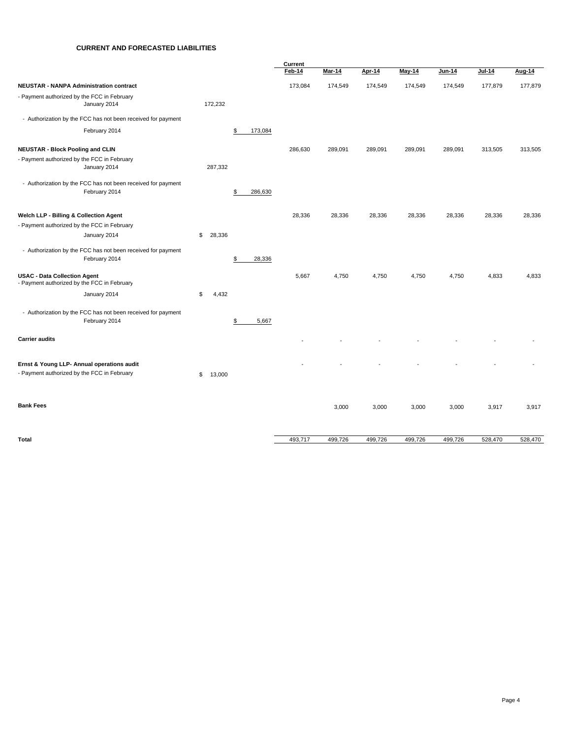#### **CURRENT AND FORECASTED LIABILITIES**

|                                                                                    |              |               | Current |               |         |               |         |         |         |
|------------------------------------------------------------------------------------|--------------|---------------|---------|---------------|---------|---------------|---------|---------|---------|
|                                                                                    |              |               | Feb-14  | <b>Mar-14</b> | Apr-14  | <b>May-14</b> | Jun-14  | Jul-14  | Aug-14  |
| <b>NEUSTAR - NANPA Administration contract</b>                                     |              |               | 173,084 | 174,549       | 174,549 | 174,549       | 174,549 | 177,879 | 177,879 |
| - Payment authorized by the FCC in February<br>January 2014                        | 172,232      |               |         |               |         |               |         |         |         |
| - Authorization by the FCC has not been received for payment                       |              |               |         |               |         |               |         |         |         |
| February 2014                                                                      |              | 173,084<br>\$ |         |               |         |               |         |         |         |
| <b>NEUSTAR - Block Pooling and CLIN</b>                                            |              |               | 286,630 | 289,091       | 289,091 | 289,091       | 289,091 | 313,505 | 313,505 |
| - Payment authorized by the FCC in February                                        |              |               |         |               |         |               |         |         |         |
| January 2014                                                                       | 287,332      |               |         |               |         |               |         |         |         |
| - Authorization by the FCC has not been received for payment                       |              |               |         |               |         |               |         |         |         |
| February 2014                                                                      |              | 286,630<br>\$ |         |               |         |               |         |         |         |
| Welch LLP - Billing & Collection Agent                                             |              |               | 28,336  | 28,336        | 28,336  | 28,336        | 28,336  | 28,336  | 28,336  |
| - Payment authorized by the FCC in February                                        |              |               |         |               |         |               |         |         |         |
| January 2014                                                                       | \$<br>28,336 |               |         |               |         |               |         |         |         |
| - Authorization by the FCC has not been received for payment                       |              |               |         |               |         |               |         |         |         |
| February 2014                                                                      |              | 28,336<br>\$  |         |               |         |               |         |         |         |
| <b>USAC - Data Collection Agent</b><br>- Payment authorized by the FCC in February |              |               | 5,667   | 4,750         | 4,750   | 4,750         | 4,750   | 4,833   | 4,833   |
| January 2014                                                                       | \$<br>4,432  |               |         |               |         |               |         |         |         |
| - Authorization by the FCC has not been received for payment                       |              |               |         |               |         |               |         |         |         |
| February 2014                                                                      |              | 5,667<br>\$   |         |               |         |               |         |         |         |
| <b>Carrier audits</b>                                                              |              |               |         |               |         |               |         |         |         |
| Ernst & Young LLP- Annual operations audit                                         |              |               |         |               |         |               |         |         |         |
| - Payment authorized by the FCC in February                                        | \$<br>13,000 |               |         |               |         |               |         |         |         |
|                                                                                    |              |               |         |               |         |               |         |         |         |
| <b>Bank Fees</b>                                                                   |              |               |         | 3,000         | 3,000   | 3,000         | 3,000   | 3,917   | 3,917   |
|                                                                                    |              |               |         |               |         |               |         |         |         |
| Total                                                                              |              |               | 493,717 | 499,726       | 499,726 | 499,726       | 499,726 | 528,470 | 528,470 |